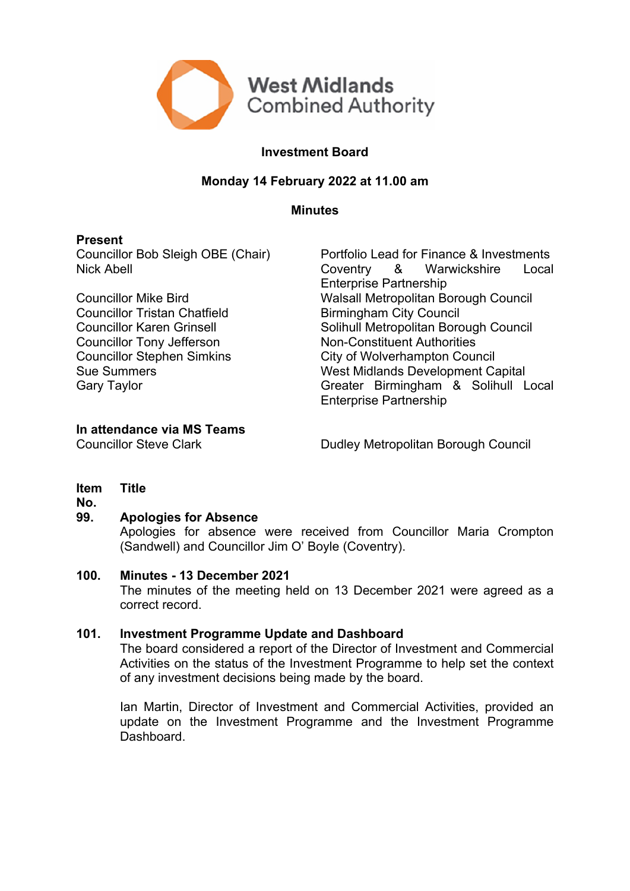

# **Investment Board**

## **Monday 14 February 2022 at 11.00 am**

**Minutes**

## **Present**

Councillor Tristan Chatfield **Birmingham City Council** Councillor Tony Jefferson Non-Constituent Authorities

Councillor Bob Sleigh OBE (Chair) Portfolio Lead for Finance & Investments Nick Abell Coventry & Warwickshire Local Enterprise Partnership Councillor Mike Bird Walsall Metropolitan Borough Council Councillor Karen Grinsell **Solihull Metropolitan Borough Council** Councillor Stephen Simkins City of Wolverhampton Council Sue Summers Music Capital Sue Summers Capital Gary Taylor<br>
Gary Taylor Capital Gary Taylor Capital Supersy Controller Capital Capital Capital Capital Supersy Controller<br>
Greater Birmingham & Solihull L Greater Birmingham & Solihull Local Enterprise Partnership

## **In attendance via MS Teams**

Councillor Steve Clark Dudley Metropolitan Borough Council

#### **Item Title**

**No.**

## **99. Apologies for Absence**

Apologies for absence were received from Councillor Maria Crompton (Sandwell) and Councillor Jim O' Boyle (Coventry).

## **100. Minutes - 13 December 2021**

The minutes of the meeting held on 13 December 2021 were agreed as a correct record.

## **101. Investment Programme Update and Dashboard**

The board considered a report of the Director of Investment and Commercial Activities on the status of the Investment Programme to help set the context of any investment decisions being made by the board.

Ian Martin, Director of Investment and Commercial Activities, provided an update on the Investment Programme and the Investment Programme Dashboard.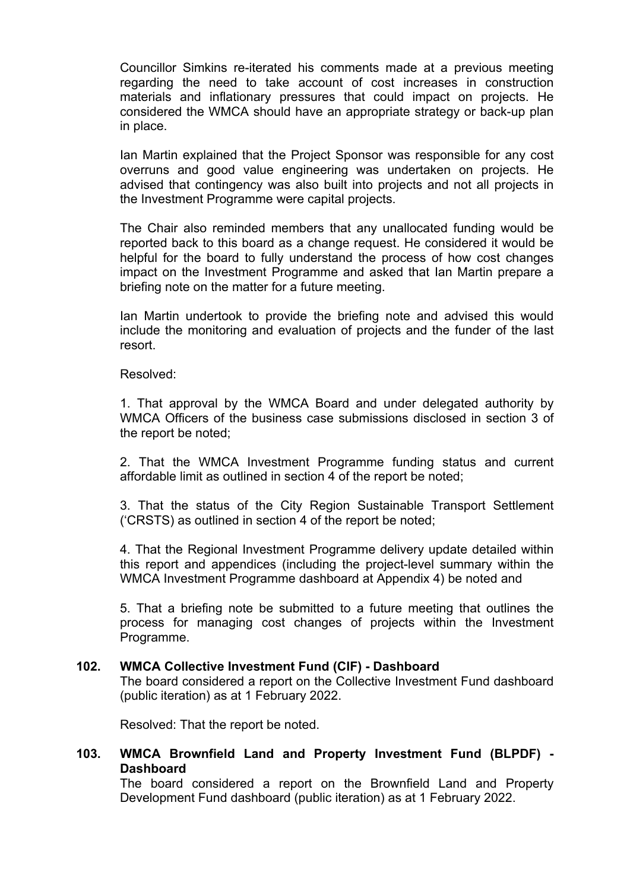Councillor Simkins re-iterated his comments made at a previous meeting regarding the need to take account of cost increases in construction materials and inflationary pressures that could impact on projects. He considered the WMCA should have an appropriate strategy or back-up plan in place.

Ian Martin explained that the Project Sponsor was responsible for any cost overruns and good value engineering was undertaken on projects. He advised that contingency was also built into projects and not all projects in the Investment Programme were capital projects.

The Chair also reminded members that any unallocated funding would be reported back to this board as a change request. He considered it would be helpful for the board to fully understand the process of how cost changes impact on the Investment Programme and asked that Ian Martin prepare a briefing note on the matter for a future meeting.

Ian Martin undertook to provide the briefing note and advised this would include the monitoring and evaluation of projects and the funder of the last resort.

Resolved:

1. That approval by the WMCA Board and under delegated authority by WMCA Officers of the business case submissions disclosed in section 3 of the report be noted;

2. That the WMCA Investment Programme funding status and current affordable limit as outlined in section 4 of the report be noted;

3. That the status of the City Region Sustainable Transport Settlement ('CRSTS) as outlined in section 4 of the report be noted;

4. That the Regional Investment Programme delivery update detailed within this report and appendices (including the project-level summary within the WMCA Investment Programme dashboard at Appendix 4) be noted and

5. That a briefing note be submitted to a future meeting that outlines the process for managing cost changes of projects within the Investment Programme.

#### **102. WMCA Collective Investment Fund (CIF) - Dashboard**

The board considered a report on the Collective Investment Fund dashboard (public iteration) as at 1 February 2022.

Resolved: That the report be noted.

## **103. WMCA Brownfield Land and Property Investment Fund (BLPDF) - Dashboard**

The board considered a report on the Brownfield Land and Property Development Fund dashboard (public iteration) as at 1 February 2022.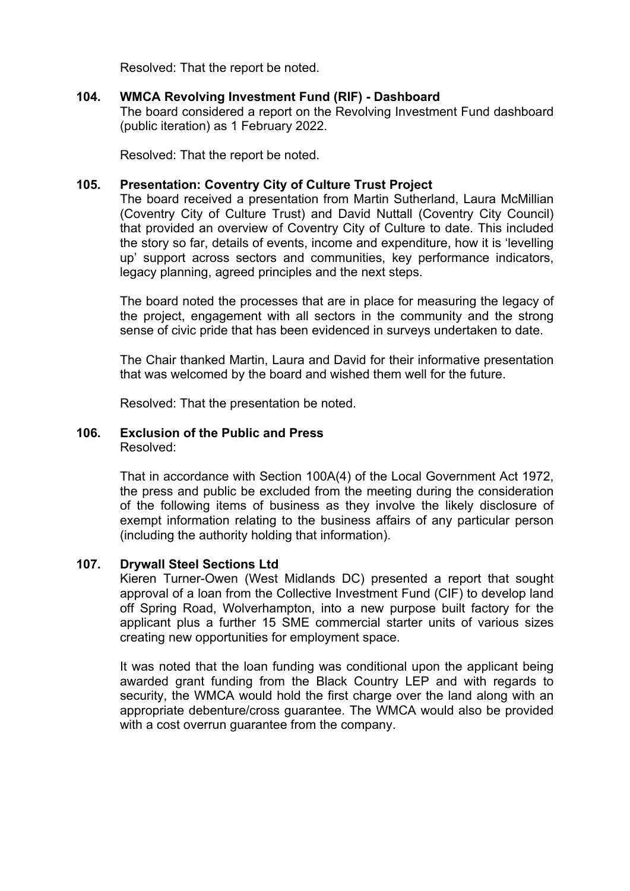Resolved: That the report be noted.

## **104. WMCA Revolving Investment Fund (RIF) - Dashboard**

The board considered a report on the Revolving Investment Fund dashboard (public iteration) as 1 February 2022.

Resolved: That the report be noted.

## **105. Presentation: Coventry City of Culture Trust Project**

The board received a presentation from Martin Sutherland, Laura McMillian (Coventry City of Culture Trust) and David Nuttall (Coventry City Council) that provided an overview of Coventry City of Culture to date. This included the story so far, details of events, income and expenditure, how it is 'levelling up' support across sectors and communities, key performance indicators, legacy planning, agreed principles and the next steps.

The board noted the processes that are in place for measuring the legacy of the project, engagement with all sectors in the community and the strong sense of civic pride that has been evidenced in surveys undertaken to date.

The Chair thanked Martin, Laura and David for their informative presentation that was welcomed by the board and wished them well for the future.

Resolved: That the presentation be noted.

#### **106. Exclusion of the Public and Press** Resolved:

That in accordance with Section 100A(4) of the Local Government Act 1972, the press and public be excluded from the meeting during the consideration of the following items of business as they involve the likely disclosure of exempt information relating to the business affairs of any particular person (including the authority holding that information).

## **107. Drywall Steel Sections Ltd**

Kieren Turner-Owen (West Midlands DC) presented a report that sought approval of a loan from the Collective Investment Fund (CIF) to develop land off Spring Road, Wolverhampton, into a new purpose built factory for the applicant plus a further 15 SME commercial starter units of various sizes creating new opportunities for employment space.

It was noted that the loan funding was conditional upon the applicant being awarded grant funding from the Black Country LEP and with regards to security, the WMCA would hold the first charge over the land along with an appropriate debenture/cross guarantee. The WMCA would also be provided with a cost overrun guarantee from the company.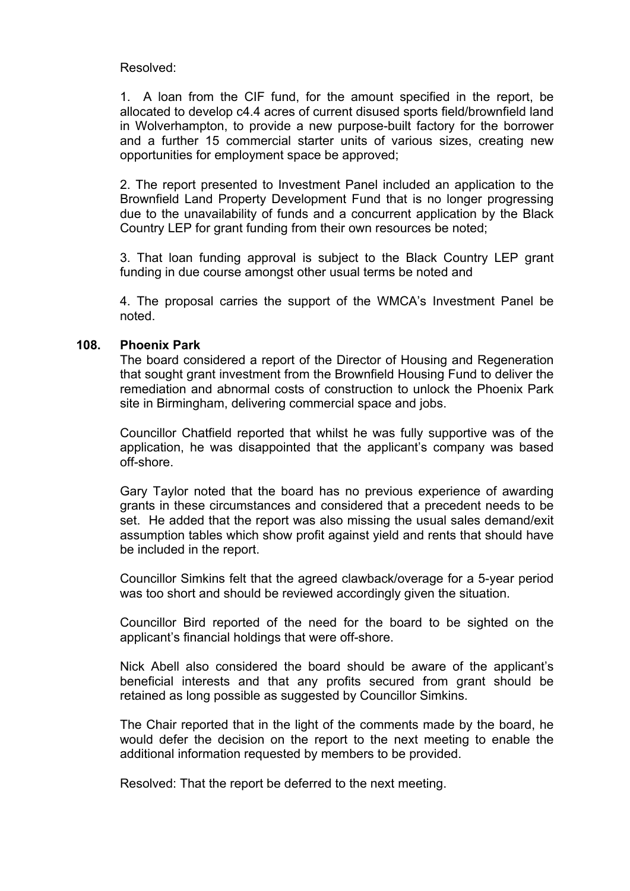Resolved:

1. A loan from the CIF fund, for the amount specified in the report, be allocated to develop c4.4 acres of current disused sports field/brownfield land in Wolverhampton, to provide a new purpose-built factory for the borrower and a further 15 commercial starter units of various sizes, creating new opportunities for employment space be approved;

2. The report presented to Investment Panel included an application to the Brownfield Land Property Development Fund that is no longer progressing due to the unavailability of funds and a concurrent application by the Black Country LEP for grant funding from their own resources be noted;

3. That loan funding approval is subject to the Black Country LEP grant funding in due course amongst other usual terms be noted and

4. The proposal carries the support of the WMCA's Investment Panel be noted.

## **108. Phoenix Park**

The board considered a report of the Director of Housing and Regeneration that sought grant investment from the Brownfield Housing Fund to deliver the remediation and abnormal costs of construction to unlock the Phoenix Park site in Birmingham, delivering commercial space and jobs.

Councillor Chatfield reported that whilst he was fully supportive was of the application, he was disappointed that the applicant's company was based off-shore.

Gary Taylor noted that the board has no previous experience of awarding grants in these circumstances and considered that a precedent needs to be set. He added that the report was also missing the usual sales demand/exit assumption tables which show profit against yield and rents that should have be included in the report.

Councillor Simkins felt that the agreed clawback/overage for a 5-year period was too short and should be reviewed accordingly given the situation.

Councillor Bird reported of the need for the board to be sighted on the applicant's financial holdings that were off-shore.

Nick Abell also considered the board should be aware of the applicant's beneficial interests and that any profits secured from grant should be retained as long possible as suggested by Councillor Simkins.

The Chair reported that in the light of the comments made by the board, he would defer the decision on the report to the next meeting to enable the additional information requested by members to be provided.

Resolved: That the report be deferred to the next meeting.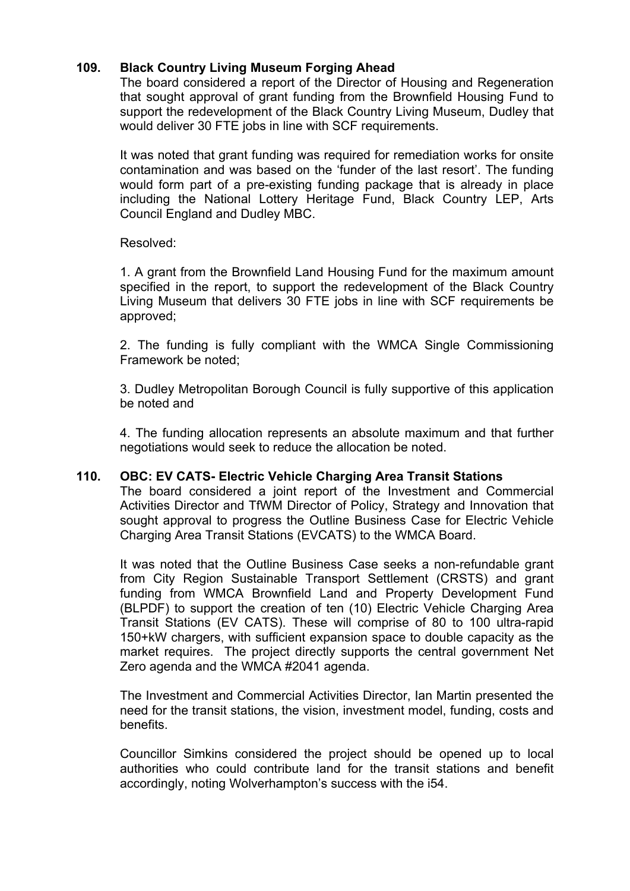# **109. Black Country Living Museum Forging Ahead**

The board considered a report of the Director of Housing and Regeneration that sought approval of grant funding from the Brownfield Housing Fund to support the redevelopment of the Black Country Living Museum, Dudley that would deliver 30 FTE jobs in line with SCF requirements.

It was noted that grant funding was required for remediation works for onsite contamination and was based on the 'funder of the last resort'. The funding would form part of a pre-existing funding package that is already in place including the National Lottery Heritage Fund, Black Country LEP, Arts Council England and Dudley MBC.

## Resolved:

1. A grant from the Brownfield Land Housing Fund for the maximum amount specified in the report, to support the redevelopment of the Black Country Living Museum that delivers 30 FTE jobs in line with SCF requirements be approved;

2. The funding is fully compliant with the WMCA Single Commissioning Framework be noted;

3. Dudley Metropolitan Borough Council is fully supportive of this application be noted and

4. The funding allocation represents an absolute maximum and that further negotiations would seek to reduce the allocation be noted.

## **110. OBC: EV CATS- Electric Vehicle Charging Area Transit Stations**

The board considered a joint report of the Investment and Commercial Activities Director and TfWM Director of Policy, Strategy and Innovation that sought approval to progress the Outline Business Case for Electric Vehicle Charging Area Transit Stations (EVCATS) to the WMCA Board.

It was noted that the Outline Business Case seeks a non-refundable grant from City Region Sustainable Transport Settlement (CRSTS) and grant funding from WMCA Brownfield Land and Property Development Fund (BLPDF) to support the creation of ten (10) Electric Vehicle Charging Area Transit Stations (EV CATS). These will comprise of 80 to 100 ultra-rapid 150+kW chargers, with sufficient expansion space to double capacity as the market requires. The project directly supports the central government Net Zero agenda and the WMCA #2041 agenda.

The Investment and Commercial Activities Director, Ian Martin presented the need for the transit stations, the vision, investment model, funding, costs and benefits.

Councillor Simkins considered the project should be opened up to local authorities who could contribute land for the transit stations and benefit accordingly, noting Wolverhampton's success with the i54.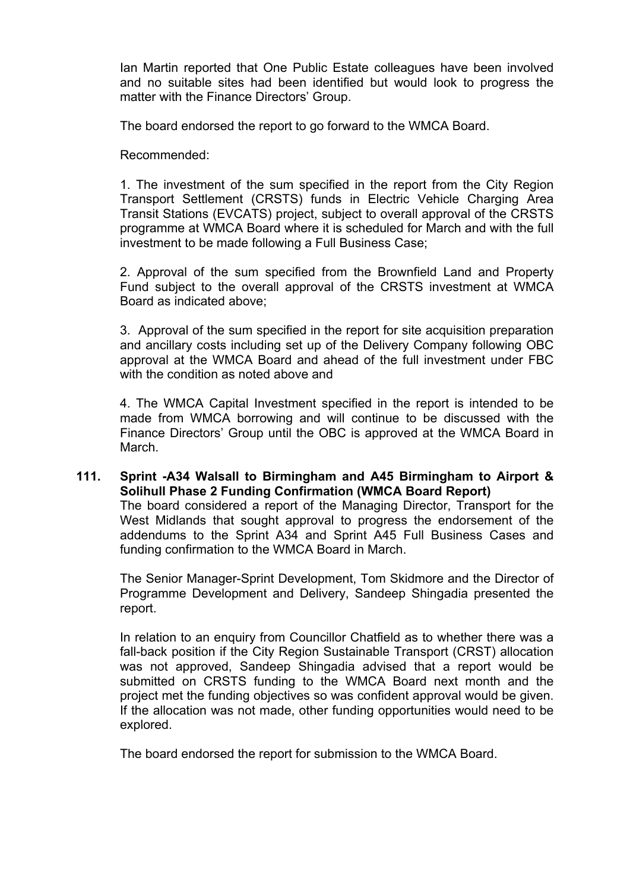Ian Martin reported that One Public Estate colleagues have been involved and no suitable sites had been identified but would look to progress the matter with the Finance Directors' Group.

The board endorsed the report to go forward to the WMCA Board.

Recommended:

1. The investment of the sum specified in the report from the City Region Transport Settlement (CRSTS) funds in Electric Vehicle Charging Area Transit Stations (EVCATS) project, subject to overall approval of the CRSTS programme at WMCA Board where it is scheduled for March and with the full investment to be made following a Full Business Case;

2. Approval of the sum specified from the Brownfield Land and Property Fund subject to the overall approval of the CRSTS investment at WMCA Board as indicated above;

3. Approval of the sum specified in the report for site acquisition preparation and ancillary costs including set up of the Delivery Company following OBC approval at the WMCA Board and ahead of the full investment under FBC with the condition as noted above and

4. The WMCA Capital Investment specified in the report is intended to be made from WMCA borrowing and will continue to be discussed with the Finance Directors' Group until the OBC is approved at the WMCA Board in March.

**111. Sprint -A34 Walsall to Birmingham and A45 Birmingham to Airport & Solihull Phase 2 Funding Confirmation (WMCA Board Report)** The board considered a report of the Managing Director, Transport for the West Midlands that sought approval to progress the endorsement of the addendums to the Sprint A34 and Sprint A45 Full Business Cases and funding confirmation to the WMCA Board in March.

The Senior Manager-Sprint Development, Tom Skidmore and the Director of Programme Development and Delivery, Sandeep Shingadia presented the report.

In relation to an enquiry from Councillor Chatfield as to whether there was a fall-back position if the City Region Sustainable Transport (CRST) allocation was not approved, Sandeep Shingadia advised that a report would be submitted on CRSTS funding to the WMCA Board next month and the project met the funding objectives so was confident approval would be given. If the allocation was not made, other funding opportunities would need to be explored.

The board endorsed the report for submission to the WMCA Board.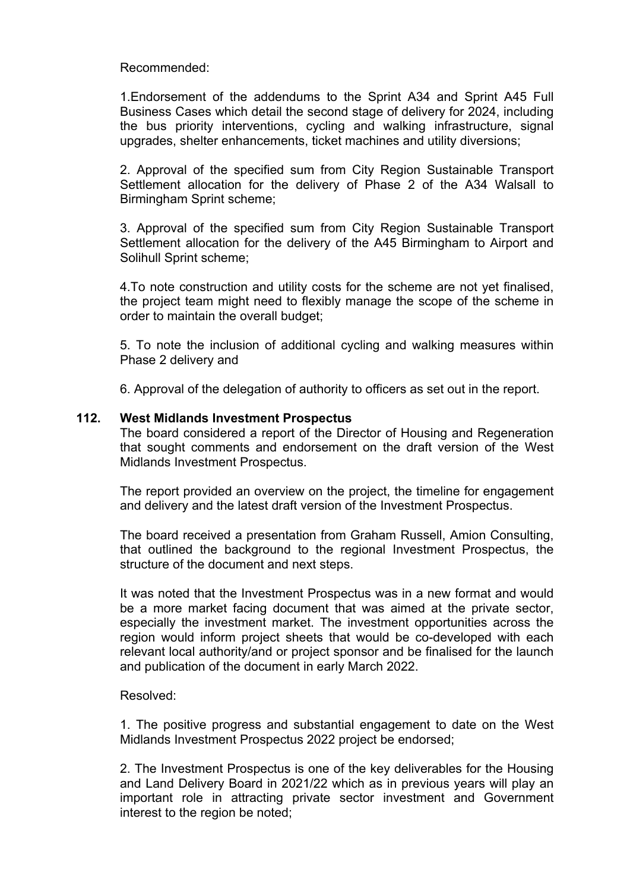Recommended:

1.Endorsement of the addendums to the Sprint A34 and Sprint A45 Full Business Cases which detail the second stage of delivery for 2024, including the bus priority interventions, cycling and walking infrastructure, signal upgrades, shelter enhancements, ticket machines and utility diversions;

2. Approval of the specified sum from City Region Sustainable Transport Settlement allocation for the delivery of Phase 2 of the A34 Walsall to Birmingham Sprint scheme;

3. Approval of the specified sum from City Region Sustainable Transport Settlement allocation for the delivery of the A45 Birmingham to Airport and Solihull Sprint scheme;

4.To note construction and utility costs for the scheme are not yet finalised, the project team might need to flexibly manage the scope of the scheme in order to maintain the overall budget;

5. To note the inclusion of additional cycling and walking measures within Phase 2 delivery and

6. Approval of the delegation of authority to officers as set out in the report.

## **112. West Midlands Investment Prospectus**

The board considered a report of the Director of Housing and Regeneration that sought comments and endorsement on the draft version of the West Midlands Investment Prospectus.

The report provided an overview on the project, the timeline for engagement and delivery and the latest draft version of the Investment Prospectus.

The board received a presentation from Graham Russell, Amion Consulting, that outlined the background to the regional Investment Prospectus, the structure of the document and next steps.

It was noted that the Investment Prospectus was in a new format and would be a more market facing document that was aimed at the private sector, especially the investment market. The investment opportunities across the region would inform project sheets that would be co-developed with each relevant local authority/and or project sponsor and be finalised for the launch and publication of the document in early March 2022.

#### Resolved:

1. The positive progress and substantial engagement to date on the West Midlands Investment Prospectus 2022 project be endorsed;

2. The Investment Prospectus is one of the key deliverables for the Housing and Land Delivery Board in 2021/22 which as in previous years will play an important role in attracting private sector investment and Government interest to the region be noted;